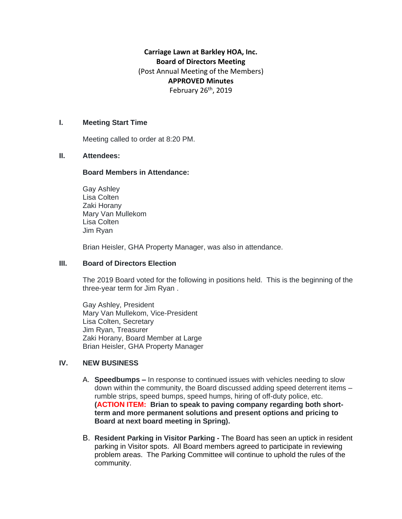# **Carriage Lawn at Barkley HOA, Inc. Board of Directors Meeting** (Post Annual Meeting of the Members) **APPROVED Minutes** February 26<sup>th</sup>, 2019

## **I. Meeting Start Time**

Meeting called to order at 8:20 PM.

#### **II. Attendees:**

#### **Board Members in Attendance:**

Gay Ashley Lisa Colten Zaki Horany Mary Van Mullekom Lisa Colten Jim Ryan

Brian Heisler, GHA Property Manager, was also in attendance.

## **III. Board of Directors Election**

The 2019 Board voted for the following in positions held. This is the beginning of the three-year term for Jim Ryan .

Gay Ashley, President Mary Van Mullekom, Vice-President Lisa Colten, Secretary Jim Ryan, Treasurer Zaki Horany, Board Member at Large Brian Heisler, GHA Property Manager

#### **IV. NEW BUSINESS**

- A. **Speedbumps –** In response to continued issues with vehicles needing to slow down within the community, the Board discussed adding speed deterrent items – rumble strips, speed bumps, speed humps, hiring of off-duty police, etc. **(ACTION ITEM: Brian to speak to paving company regarding both shortterm and more permanent solutions and present options and pricing to Board at next board meeting in Spring).**
- B. **Resident Parking in Visitor Parking -** The Board has seen an uptick in resident parking in Visitor spots. All Board members agreed to participate in reviewing problem areas. The Parking Committee will continue to uphold the rules of the community.